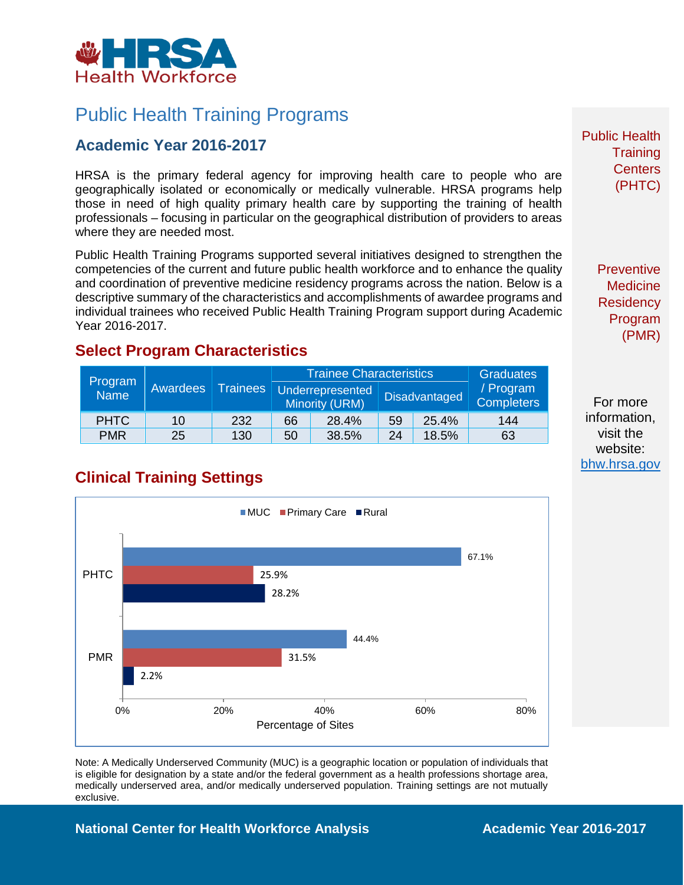

# Public Health Training Programs

### **Academic Year 2016-2017**

HRSA is the primary federal agency for improving health care to people who are geographically isolated or economically or medically vulnerable. HRSA programs help those in need of high quality primary health care by supporting the training of health professionals – focusing in particular on the geographical distribution of providers to areas where they are needed most.

Public Health Training Programs supported several initiatives designed to strengthen the competencies of the current and future public health workforce and to enhance the quality and coordination of preventive medicine residency programs across the nation. Below is a descriptive summary of the characteristics and accomplishments of awardee programs and individual trainees who received Public Health Training Program support during Academic Year 2016-2017.

#### **Select Program Characteristics**

| Program<br><b>Name</b> | Awardees | <b>Trainees</b> | <b>Trainee Characteristics</b> |                                    |                      |       | <b>Graduates</b>               |
|------------------------|----------|-----------------|--------------------------------|------------------------------------|----------------------|-------|--------------------------------|
|                        |          |                 |                                | Underrepresented<br>Minority (URM) | <b>Disadvantaged</b> |       | / Program<br><b>Completers</b> |
| <b>PHTC</b>            | 10       | 232             | 66                             | 28.4%                              | 59                   | 25.4% | 144                            |
| <b>PMR</b>             | 25       | 130             | 50                             | 38.5%                              | 24                   | 18.5% | 63                             |

**Clinical Training Settings**



Note: A Medically Underserved Community (MUC) is a geographic location or population of individuals that is eligible for designation by a state and/or the federal government as a health professions shortage area, medically underserved area, and/or medically underserved population. Training settings are not mutually exclusive.

**National Center for Health Workforce Analysis Mational Center 2016-2017** 

Public Health **Training Centers** (PHTC)

> **Preventive Medicine Residency** Program (PMR)

For more information, visit the website: [bhw.hrsa.gov](http://bhw.hrsa.gov/)